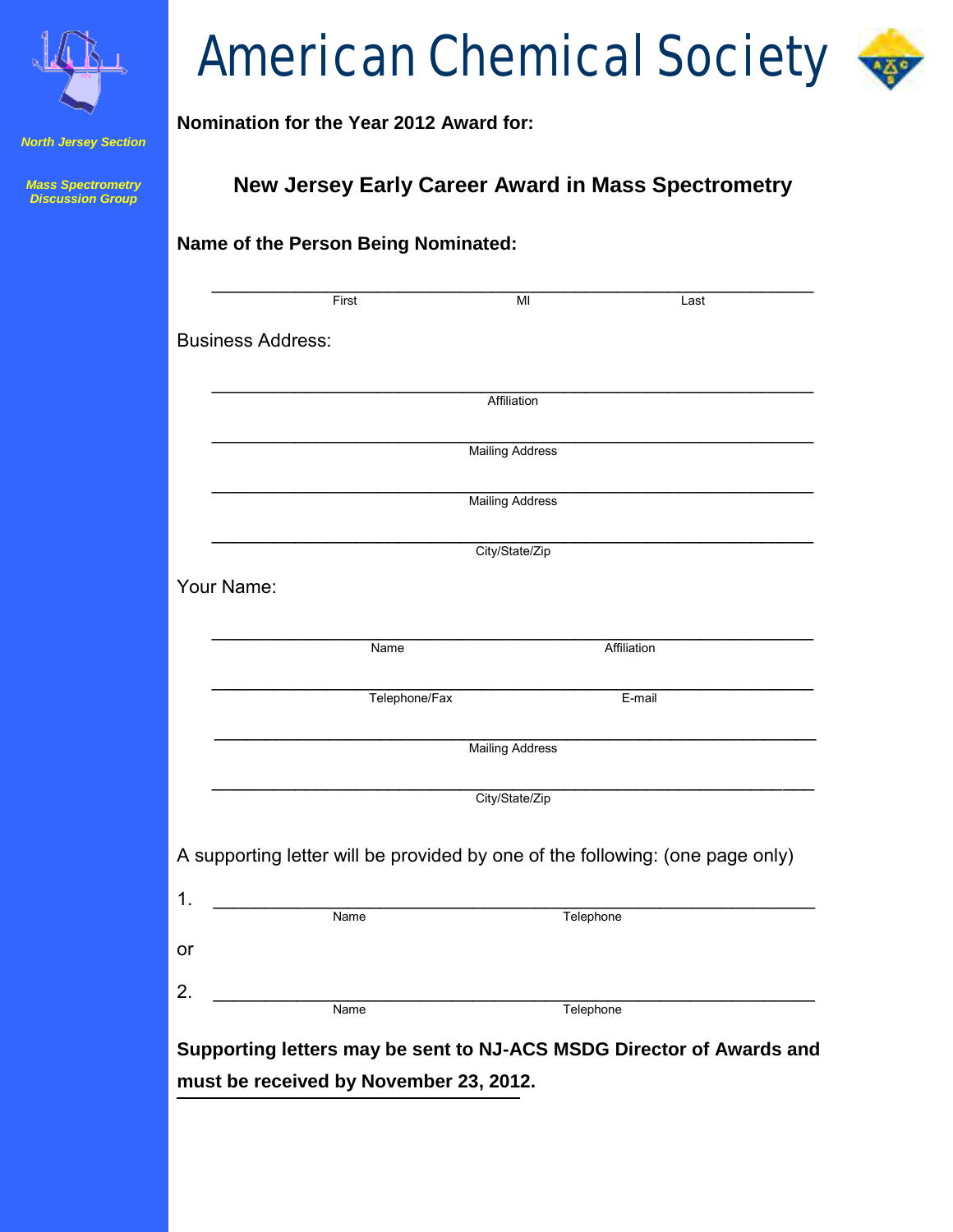

#### *North Jersey Section*

*Mass Spectrometry Discussion Group*

# American Chemical Society

# **Nomination for the Year 2012 Award for:**

**Name of the Person Being Nominated:** 

# **New Jersey Early Career Award in Mass Spectrometry**

|                          | First                                                                         | $\overline{M}$         | Last        |
|--------------------------|-------------------------------------------------------------------------------|------------------------|-------------|
| <b>Business Address:</b> |                                                                               |                        |             |
|                          |                                                                               |                        |             |
|                          |                                                                               | Affiliation            |             |
|                          |                                                                               | <b>Mailing Address</b> |             |
|                          |                                                                               | <b>Mailing Address</b> |             |
|                          |                                                                               | City/State/Zip         |             |
| Your Name:               |                                                                               |                        |             |
|                          |                                                                               |                        |             |
|                          | Name                                                                          |                        | Affiliation |
|                          | Telephone/Fax                                                                 |                        | E-mail      |
|                          |                                                                               | <b>Mailing Address</b> |             |
|                          |                                                                               | City/State/Zip         |             |
|                          |                                                                               |                        |             |
|                          | A supporting letter will be provided by one of the following: (one page only) |                        |             |
|                          | <b>Name</b>                                                                   | Telephone              |             |
|                          |                                                                               |                        |             |
|                          |                                                                               |                        |             |
|                          | Name                                                                          | Telephone              |             |